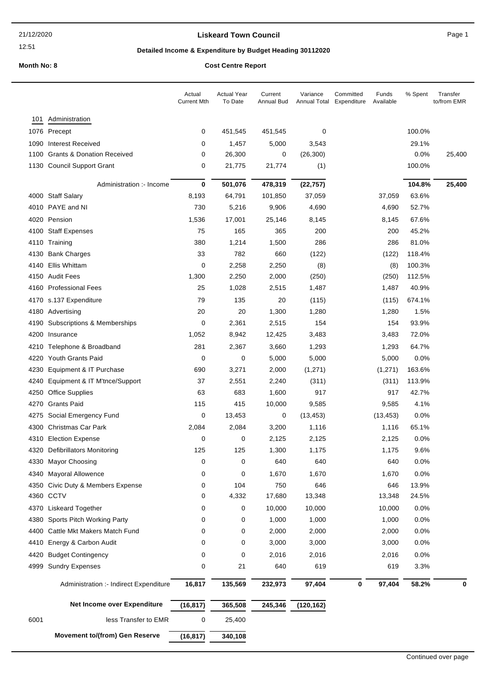## **Liskeard Town Council Canadian Council** Page 1

# **Detailed Income & Expenditure by Budget Heading 30112020**

|              |                                                            | Actual<br><b>Current Mth</b> | <b>Actual Year</b><br>To Date | Current<br>Annual Bud | Variance<br>Annual Total | Committed<br>Funds<br>Expenditure<br>Available | % Spent      | Transfer<br>to/from EMR |
|--------------|------------------------------------------------------------|------------------------------|-------------------------------|-----------------------|--------------------------|------------------------------------------------|--------------|-------------------------|
| 101          | Administration                                             |                              |                               |                       |                          |                                                |              |                         |
|              | 1076 Precept                                               | 0                            | 451,545                       | 451,545               | 0                        |                                                | 100.0%       |                         |
| 1090         | <b>Interest Received</b>                                   | 0                            | 1,457                         | 5,000                 | 3,543                    |                                                | 29.1%        |                         |
| 1100         | <b>Grants &amp; Donation Received</b>                      | 0                            | 26,300                        | 0                     | (26, 300)                |                                                | 0.0%         | 25,400                  |
|              | 1130 Council Support Grant                                 | 0                            | 21,775                        | 21,774                | (1)                      |                                                | 100.0%       |                         |
|              | Administration :- Income                                   | 0                            | 501,076                       | 478,319               | (22, 757)                |                                                | 104.8%       | 25,400                  |
|              | 4000 Staff Salary                                          | 8,193                        | 64,791                        | 101,850               | 37,059                   | 37,059                                         | 63.6%        |                         |
|              | 4010 PAYE and NI                                           | 730                          | 5,216                         | 9,906                 | 4,690                    | 4,690                                          | 52.7%        |                         |
|              | 4020 Pension                                               | 1,536                        | 17,001                        | 25,146                | 8,145                    | 8,145                                          | 67.6%        |                         |
| 4100         | <b>Staff Expenses</b>                                      | 75                           | 165                           | 365                   | 200                      | 200                                            | 45.2%        |                         |
|              | 4110 Training                                              | 380                          | 1,214                         | 1,500                 | 286                      | 286                                            | 81.0%        |                         |
| 4130         | <b>Bank Charges</b>                                        | 33                           | 782                           | 660                   | (122)                    | (122)                                          | 118.4%       |                         |
| 4140         | Ellis Whittam                                              | 0                            | 2,258                         | 2,250                 | (8)                      | (8)                                            | 100.3%       |                         |
|              | 4150 Audit Fees                                            | 1,300                        | 2,250                         | 2,000                 | (250)                    | (250)                                          | 112.5%       |                         |
|              | 4160 Professional Fees                                     | 25                           | 1,028                         | 2,515                 | 1,487                    | 1,487                                          | 40.9%        |                         |
|              | 4170 s.137 Expenditure                                     | 79                           | 135                           | 20                    | (115)                    | (115)                                          | 674.1%       |                         |
|              | 4180 Advertising                                           | 20                           | 20                            | 1,300                 | 1,280                    | 1,280                                          | 1.5%         |                         |
| 4190         | Subscriptions & Memberships                                | 0                            | 2,361                         | 2,515                 | 154                      | 154                                            | 93.9%        |                         |
| 4200         | Insurance                                                  | 1,052                        | 8,942                         | 12,425                | 3,483                    | 3,483                                          | 72.0%        |                         |
| 4210         | Telephone & Broadband                                      | 281                          | 2,367                         | 3,660                 | 1,293                    | 1,293                                          | 64.7%        |                         |
| 4220         | <b>Youth Grants Paid</b>                                   | 0                            | 0                             | 5,000                 | 5,000                    | 5,000                                          | 0.0%         |                         |
| 4230         | Equipment & IT Purchase                                    | 690                          | 3,271                         | 2,000                 | (1, 271)                 | (1, 271)                                       | 163.6%       |                         |
| 4240         | Equipment & IT M'tnce/Support                              | 37                           | 2,551                         | 2,240                 | (311)                    | (311)                                          | 113.9%       |                         |
| 4250         | <b>Office Supplies</b>                                     | 63                           | 683                           | 1,600                 | 917                      | 917                                            | 42.7%        |                         |
| 4270         | <b>Grants Paid</b>                                         | 115                          | 415                           | 10,000                | 9,585                    | 9,585                                          | 4.1%         |                         |
| 4275         | Social Emergency Fund                                      | 0                            | 13,453                        | 0                     | (13, 453)                | (13, 453)                                      | 0.0%         |                         |
| 4300         | <b>Christmas Car Park</b>                                  | 2,084                        | 2,084                         | 3,200                 | 1,116                    | 1,116                                          | 65.1%        |                         |
|              | 4310 Election Expense                                      | 0                            | 0                             | 2,125                 | 2,125                    | 2,125                                          | 0.0%         |                         |
|              | 4320 Defibrillators Monitoring                             | 125                          | 125                           | 1,300                 | 1,175                    | 1,175                                          | 9.6%         |                         |
| 4330         | <b>Mayor Choosing</b>                                      | 0                            | 0                             | 640                   | 640                      | 640                                            | 0.0%         |                         |
| 4340         | Mayoral Allowence                                          | 0                            | 0                             | 1,670                 | 1,670                    | 1,670                                          | 0.0%         |                         |
| 4350         | Civic Duty & Members Expense<br>4360 CCTV                  | 0                            | 104                           | 750                   | 646                      | 646                                            | 13.9%        |                         |
|              | <b>Liskeard Together</b>                                   | 0                            | 4,332                         | 17,680<br>10,000      | 13,348                   | 13,348                                         | 24.5%        |                         |
| 4370<br>4380 |                                                            | 0                            | 0                             |                       | 10,000                   | 10,000                                         | 0.0%<br>0.0% |                         |
| 4400         | Sports Pitch Working Party<br>Cattle Mkt Makers Match Fund | 0<br>0                       | 0<br>0                        | 1,000<br>2,000        | 1,000<br>2,000           | 1,000<br>2,000                                 | 0.0%         |                         |
| 4410         | Energy & Carbon Audit                                      | 0                            | 0                             | 3,000                 | 3,000                    | 3,000                                          | 0.0%         |                         |
|              | <b>Budget Contingency</b>                                  | 0                            | 0                             | 2,016                 |                          |                                                | 0.0%         |                         |
| 4420<br>4999 | <b>Sundry Expenses</b>                                     | 0                            | 21                            | 640                   | 2,016<br>619             | 2,016<br>619                                   | 3.3%         |                         |
|              |                                                            |                              |                               |                       |                          |                                                |              |                         |
|              | Administration :- Indirect Expenditure                     | 16,817                       | 135,569                       | 232,973               | 97,404                   | 97,404<br>0                                    | 58.2%        | 0                       |
|              | Net Income over Expenditure                                | (16, 817)                    | 365,508                       | 245,346               | (120, 162)               |                                                |              |                         |
| 6001         | less Transfer to EMR                                       | 0                            | 25,400                        |                       |                          |                                                |              |                         |
|              | Movement to/(from) Gen Reserve                             | (16, 817)                    | 340,108                       |                       |                          |                                                |              |                         |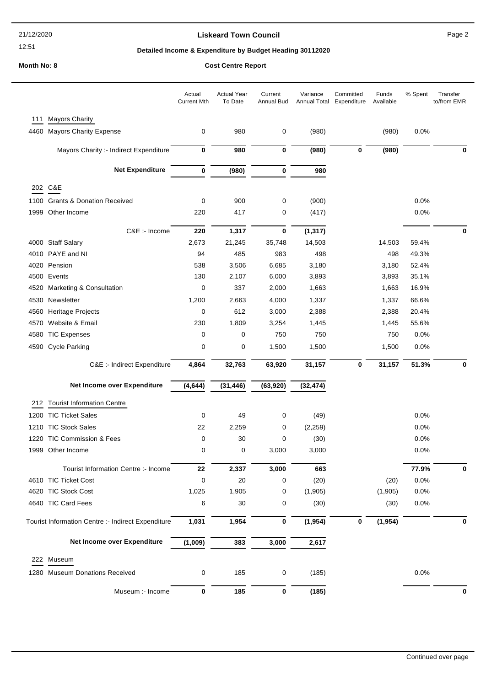#### **Liskeard Town Council Council Council Page 2**

% Spent Transfer

to/from EMR

#### **Detailed Income & Expenditure by Budget Heading 30112020**

#### **Month No: 8 Cost Centre Report** Actual Year To Date Current Annual Bud Annual Total Expenditure Available Variance Committed Funds Actual Current Mth 111 Mayors Charity 4460 Mayors Charity Expense 0 980 0 (980) (980) 0.0%

|      | Mayors Charity :- Indirect Expenditure             | 0           | 980         | 0         | (980)         | 0 | (980)    |              | 0 |
|------|----------------------------------------------------|-------------|-------------|-----------|---------------|---|----------|--------------|---|
|      | <b>Net Expenditure</b>                             | $\bf{0}$    | (980)       | 0         | 980           |   |          |              |   |
|      | 202 C&E                                            |             |             |           |               |   |          |              |   |
| 1100 | <b>Grants &amp; Donation Received</b>              | 0           | 900         | 0         | (900)         |   |          | 0.0%         |   |
| 1999 | Other Income                                       | 220         | 417         | 0         | (417)         |   |          | 0.0%         |   |
|      |                                                    |             |             |           |               |   |          |              |   |
|      | C&E :- Income                                      | 220         | 1,317       | 0         | (1, 317)      |   |          |              | 0 |
|      | 4000 Staff Salary                                  | 2,673       | 21,245      | 35,748    | 14,503        |   | 14,503   | 59.4%        |   |
|      | 4010 PAYE and NI                                   | 94          | 485         | 983       | 498           |   | 498      | 49.3%        |   |
|      | 4020 Pension                                       | 538         | 3,506       | 6,685     | 3,180         |   | 3,180    | 52.4%        |   |
|      | 4500 Events                                        | 130         | 2,107       | 6,000     | 3,893         |   | 3,893    | 35.1%        |   |
|      | 4520 Marketing & Consultation                      | 0           | 337         | 2,000     | 1,663         |   | 1,663    | 16.9%        |   |
|      | 4530 Newsletter                                    | 1,200       | 2,663       | 4,000     | 1,337         |   | 1,337    | 66.6%        |   |
|      | 4560 Heritage Projects                             | 0           | 612         | 3,000     | 2,388         |   | 2,388    | 20.4%        |   |
| 4570 | Website & Email                                    | 230         | 1,809       | 3,254     | 1,445         |   | 1,445    | 55.6%        |   |
|      | 4580 TIC Expenses                                  | 0           | 0           | 750       | 750           |   | 750      | 0.0%         |   |
|      | 4590 Cycle Parking                                 | 0           | 0           | 1,500     | 1,500         |   | 1,500    | 0.0%         |   |
|      | C&E :- Indirect Expenditure                        | 4,864       | 32,763      | 63,920    | 31,157        | 0 | 31,157   | 51.3%        | 0 |
|      | Net Income over Expenditure                        | (4, 644)    | (31, 446)   | (63, 920) | (32, 474)     |   |          |              |   |
| 212  | <b>Tourist Information Centre</b>                  |             |             |           |               |   |          |              |   |
|      | 1200 TIC Ticket Sales                              | 0           | 49          |           |               |   |          |              |   |
|      |                                                    |             |             | 0         |               |   |          | 0.0%         |   |
|      |                                                    |             |             |           | (49)          |   |          |              |   |
|      | 1210 TIC Stock Sales<br>1220 TIC Commission & Fees | 22<br>0     | 2,259<br>30 | 0<br>0    | (2, 259)      |   |          | 0.0%         |   |
|      | 1999 Other Income                                  | 0           | 0           | 3,000     | (30)<br>3,000 |   |          | 0.0%<br>0.0% |   |
|      |                                                    |             |             |           |               |   |          |              |   |
|      | Tourist Information Centre :- Income               | 22          | 2,337       | 3,000     | 663           |   |          | 77.9%        | 0 |
|      | 4610 TIC Ticket Cost                               | 0           | 20          | 0         | (20)          |   | (20)     | 0.0%         |   |
|      | 4620 TIC Stock Cost                                | 1,025       | 1,905       | 0         | (1, 905)      |   | (1,905)  | 0.0%         |   |
|      | 4640 TIC Card Fees                                 | 6           | 30          | $\pmb{0}$ | (30)          |   | (30)     | 0.0%         |   |
|      | Tourist Information Centre :- Indirect Expenditure | 1,031       | 1,954       | 0         | (1, 954)      | 0 | (1, 954) |              | 0 |
|      | Net Income over Expenditure                        | (1,009)     | 383         | 3,000     | 2,617         |   |          |              |   |
|      | 222 Museum                                         |             |             |           |               |   |          |              |   |
|      | 1280 Museum Donations Received                     | 0           | 185         | 0         | (185)         |   |          | 0.0%         |   |
|      | Museum :- Income                                   | $\mathbf 0$ | 185         | $\pmb{0}$ | (185)         |   |          |              | 0 |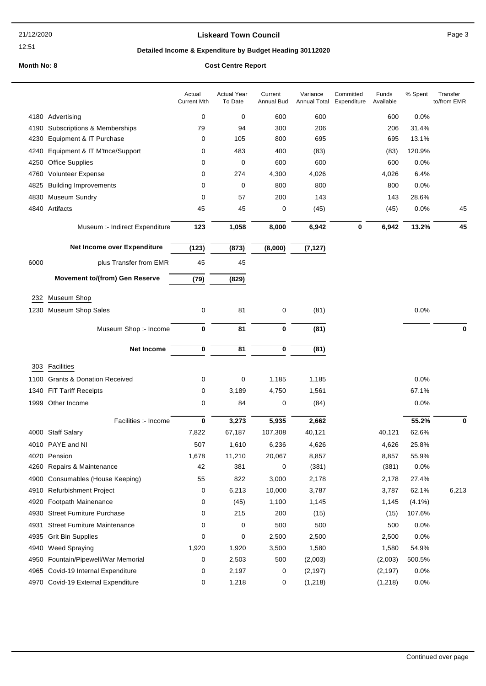## **Liskeard Town Council Canadian Council** Page 3

# **Detailed Income & Expenditure by Budget Heading 30112020**

|      |                                       | Actual<br><b>Current Mth</b> | <b>Actual Year</b><br>To Date | Current<br>Annual Bud | Variance<br>Annual Total | Committed<br>Expenditure | Funds<br>Available | % Spent   | Transfer<br>to/from EMR |
|------|---------------------------------------|------------------------------|-------------------------------|-----------------------|--------------------------|--------------------------|--------------------|-----------|-------------------------|
|      | 4180 Advertising                      | 0                            | 0                             | 600                   | 600                      |                          | 600                | 0.0%      |                         |
| 4190 | Subscriptions & Memberships           | 79                           | 94                            | 300                   | 206                      |                          | 206                | 31.4%     |                         |
| 4230 | Equipment & IT Purchase               | 0                            | 105                           | 800                   | 695                      |                          | 695                | 13.1%     |                         |
| 4240 | Equipment & IT M'tnce/Support         | 0                            | 483                           | 400                   | (83)                     |                          | (83)               | 120.9%    |                         |
| 4250 | Office Supplies                       | 0                            | 0                             | 600                   | 600                      |                          | 600                | 0.0%      |                         |
| 4760 | <b>Volunteer Expense</b>              | 0                            | 274                           | 4,300                 | 4,026                    |                          | 4,026              | 6.4%      |                         |
| 4825 | <b>Building Improvements</b>          | 0                            | 0                             | 800                   | 800                      |                          | 800                | 0.0%      |                         |
| 4830 | <b>Museum Sundry</b>                  | 0                            | 57                            | 200                   | 143                      |                          | 143                | 28.6%     |                         |
|      | 4840 Artifacts                        | 45                           | 45                            | 0                     | (45)                     |                          | (45)               | 0.0%      | 45                      |
|      |                                       |                              |                               |                       |                          |                          |                    |           |                         |
|      | Museum :- Indirect Expenditure        | 123                          | 1,058                         | 8,000                 | 6,942                    | 0                        | 6,942              | 13.2%     | 45                      |
|      | Net Income over Expenditure           | (123)                        | (873)                         | (8,000)               | (7, 127)                 |                          |                    |           |                         |
| 6000 | plus Transfer from EMR                | 45                           | 45                            |                       |                          |                          |                    |           |                         |
|      | <b>Movement to/(from) Gen Reserve</b> | (79)                         | (829)                         |                       |                          |                          |                    |           |                         |
| 232  | <b>Museum Shop</b>                    |                              |                               |                       |                          |                          |                    |           |                         |
|      | 1230 Museum Shop Sales                | 0                            | 81                            | 0                     | (81)                     |                          |                    | 0.0%      |                         |
|      |                                       |                              | 81                            |                       |                          |                          |                    |           | $\bf{0}$                |
|      | Museum Shop :- Income                 | 0                            |                               | $\bf{0}$              | (81)                     |                          |                    |           |                         |
|      | <b>Net Income</b>                     | 0                            | 81                            | 0                     | (81)                     |                          |                    |           |                         |
| 303  | Facilities                            |                              |                               |                       |                          |                          |                    |           |                         |
| 1100 | <b>Grants &amp; Donation Received</b> | 0                            | 0                             | 1,185                 | 1,185                    |                          |                    | 0.0%      |                         |
| 1340 | <b>FIT Tariff Receipts</b>            | 0                            | 3,189                         | 4,750                 | 1,561                    |                          |                    | 67.1%     |                         |
|      | 1999 Other Income                     | 0                            | 84                            | 0                     | (84)                     |                          |                    | 0.0%      |                         |
|      |                                       |                              |                               |                       |                          |                          |                    |           |                         |
|      | Facilities :- Income                  | 0                            | 3,273                         | 5,935                 | 2,662                    |                          |                    | 55.2%     | 0                       |
|      | 4000 Staff Salary                     | 7,822                        | 67,187                        | 107,308               | 40,121                   |                          | 40,121             | 62.6%     |                         |
|      | 4010 PAYE and NI                      | 507                          | 1,610                         | 6,236                 | 4,626                    |                          | 4,626              | 25.8%     |                         |
| 4020 | Pension                               | 1,678                        | 11,210                        | 20,067                | 8,857                    |                          | 8,857              | 55.9%     |                         |
|      | 4260 Repairs & Maintenance            | 42                           | 381                           | 0                     | (381)                    |                          | (381)              | 0.0%      |                         |
| 4900 | Consumables (House Keeping)           | 55                           | 822                           | 3,000                 | 2,178                    |                          | 2,178              | 27.4%     |                         |
| 4910 | <b>Refurbishment Project</b>          | 0                            | 6,213                         | 10,000                | 3,787                    |                          | 3,787              | 62.1%     | 6,213                   |
| 4920 | Footpath Mainenance                   | 0                            | (45)                          | 1,100                 | 1,145                    |                          | 1,145              | $(4.1\%)$ |                         |
| 4930 | <b>Street Furniture Purchase</b>      | 0                            | 215                           | 200                   | (15)                     |                          | (15)               | 107.6%    |                         |
| 4931 | <b>Street Furniture Maintenance</b>   | 0                            | 0                             | 500                   | 500                      |                          | 500                | 0.0%      |                         |
| 4935 | <b>Grit Bin Supplies</b>              | 0                            | 0                             | 2,500                 | 2,500                    |                          | 2,500              | 0.0%      |                         |
| 4940 | <b>Weed Spraying</b>                  | 1,920                        | 1,920                         | 3,500                 | 1,580                    |                          | 1,580              | 54.9%     |                         |
| 4950 | Fountain/Pipewell/War Memorial        | 0                            | 2,503                         | 500                   | (2,003)                  |                          | (2,003)            | 500.5%    |                         |
| 4965 | Covid-19 Internal Expenditure         | 0                            | 2,197                         | 0                     | (2, 197)                 |                          | (2, 197)           | 0.0%      |                         |
|      | 4970 Covid-19 External Expenditure    | 0                            | 1,218                         | 0                     | (1, 218)                 |                          | (1,218)            | 0.0%      |                         |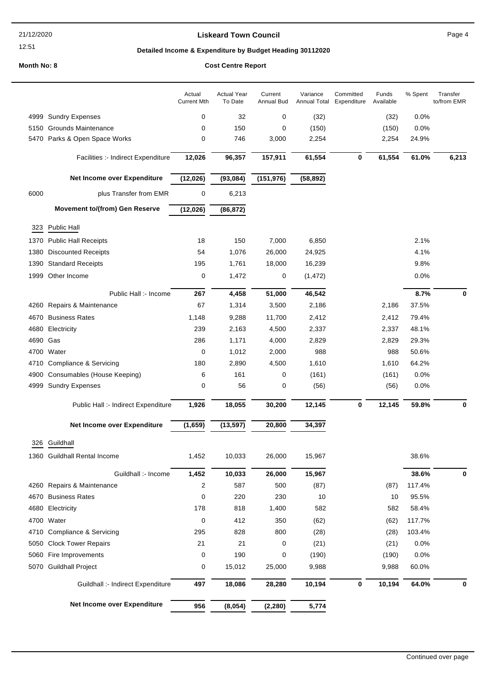#### 21/12/2020

#### 12:51

## **Liskeard Town Council Canadian Council** Page 4

# **Detailed Income & Expenditure by Budget Heading 30112020**

## **Month No: 8**

|  |  | <b>Cost Centre Report</b> |
|--|--|---------------------------|
|--|--|---------------------------|

|          |                                       | Actual<br><b>Current Mth</b> | <b>Actual Year</b><br>To Date | Current<br><b>Annual Bud</b> | Variance<br>Annual Total | Committed<br>Expenditure | Funds<br>Available | $%$ Spent | Transfer<br>to/from EMR |
|----------|---------------------------------------|------------------------------|-------------------------------|------------------------------|--------------------------|--------------------------|--------------------|-----------|-------------------------|
|          | 4999 Sundry Expenses                  | $\mathbf 0$                  | 32                            | 0                            | (32)                     |                          | (32)               | 0.0%      |                         |
|          | 5150 Grounds Maintenance              | 0                            | 150                           | 0                            | (150)                    |                          | (150)              | 0.0%      |                         |
|          | 5470 Parks & Open Space Works         | $\mathbf 0$                  | 746                           | 3,000                        | 2,254                    |                          | 2,254              | 24.9%     |                         |
|          | Facilities :- Indirect Expenditure    | 12,026                       | 96,357                        | 157,911                      | 61,554                   | $\mathbf 0$              | 61,554             | 61.0%     | 6,213                   |
|          | Net Income over Expenditure           | (12, 026)                    | (93,084)                      | (151, 976)                   | (58, 892)                |                          |                    |           |                         |
| 6000     | plus Transfer from EMR                | 0                            | 6,213                         |                              |                          |                          |                    |           |                         |
|          | <b>Movement to/(from) Gen Reserve</b> | (12,026)                     | (86, 872)                     |                              |                          |                          |                    |           |                         |
| 323      | <b>Public Hall</b>                    |                              |                               |                              |                          |                          |                    |           |                         |
|          | 1370 Public Hall Receipts             | 18                           | 150                           | 7,000                        | 6,850                    |                          |                    | 2.1%      |                         |
| 1380     | <b>Discounted Receipts</b>            | 54                           | 1,076                         | 26,000                       | 24,925                   |                          |                    | 4.1%      |                         |
|          | 1390 Standard Receipts                | 195                          | 1,761                         | 18,000                       | 16,239                   |                          |                    | 9.8%      |                         |
|          | 1999 Other Income                     | $\pmb{0}$                    | 1,472                         | 0                            | (1, 472)                 |                          |                    | 0.0%      |                         |
|          | Public Hall :- Income                 | 267                          | 4,458                         | 51,000                       | 46,542                   |                          |                    | 8.7%      | 0                       |
|          | 4260 Repairs & Maintenance            | 67                           | 1,314                         | 3,500                        | 2,186                    |                          | 2,186              | 37.5%     |                         |
|          | 4670 Business Rates                   | 1,148                        | 9,288                         | 11,700                       | 2,412                    |                          | 2,412              | 79.4%     |                         |
|          | 4680 Electricity                      | 239                          | 2,163                         | 4,500                        | 2,337                    |                          | 2,337              | 48.1%     |                         |
| 4690 Gas |                                       | 286                          | 1,171                         | 4,000                        | 2,829                    |                          | 2,829              | 29.3%     |                         |
|          | 4700 Water                            | 0                            | 1,012                         | 2,000                        | 988                      |                          | 988                | 50.6%     |                         |
|          | 4710 Compliance & Servicing           | 180                          | 2,890                         | 4,500                        | 1,610                    |                          | 1,610              | 64.2%     |                         |
| 4900     | Consumables (House Keeping)           | 6                            | 161                           | 0                            | (161)                    |                          | (161)              | 0.0%      |                         |
|          | 4999 Sundry Expenses                  | 0                            | 56                            | 0                            | (56)                     |                          | (56)               | 0.0%      |                         |
|          | Public Hall :- Indirect Expenditure   | 1,926                        | 18,055                        | 30,200                       | 12,145                   | 0                        | 12,145             | 59.8%     | 0                       |
|          | Net Income over Expenditure           | (1,659)                      | (13, 597)                     | 20,800                       | 34,397                   |                          |                    |           |                         |
|          |                                       |                              |                               |                              |                          |                          |                    |           |                         |
| 326      | Guildhall                             |                              |                               |                              |                          |                          |                    |           |                         |
|          | 1360 Guildhall Rental Income          | 1,452                        | 10,033                        | 26,000                       | 15,967                   |                          |                    | 38.6%     |                         |
|          | Guildhall :- Income                   | 1,452                        | 10,033                        | 26,000                       | 15,967                   |                          |                    | 38.6%     | 0                       |
|          | 4260 Repairs & Maintenance            | 2                            | 587                           | 500                          | (87)                     |                          | (87)               | 117.4%    |                         |
|          | 4670 Business Rates                   | 0                            | 220                           | 230                          | 10                       |                          | 10                 | 95.5%     |                         |
|          | 4680 Electricity                      | 178                          | 818                           | 1,400                        | 582                      |                          | 582                | 58.4%     |                         |
|          | 4700 Water                            | 0                            | 412                           | 350                          | (62)                     |                          | (62)               | 117.7%    |                         |
|          | 4710 Compliance & Servicing           | 295                          | 828                           | 800                          | (28)                     |                          | (28)               | 103.4%    |                         |
| 5050     | <b>Clock Tower Repairs</b>            | 21                           | 21                            | 0                            | (21)                     |                          | (21)               | 0.0%      |                         |
| 5060     | Fire Improvements                     | 0                            | 190                           | 0                            | (190)                    |                          | (190)              | 0.0%      |                         |
|          | 5070 Guildhall Project                | 0                            | 15,012                        | 25,000                       | 9,988                    |                          | 9,988              | 60.0%     |                         |
|          | Guildhall :- Indirect Expenditure     | 497                          | 18,086                        | 28,280                       | 10,194                   | $\bf{0}$                 | 10,194             | 64.0%     | 0                       |
|          | Net Income over Expenditure           | 956                          | (8,054)                       | (2, 280)                     | 5,774                    |                          |                    |           |                         |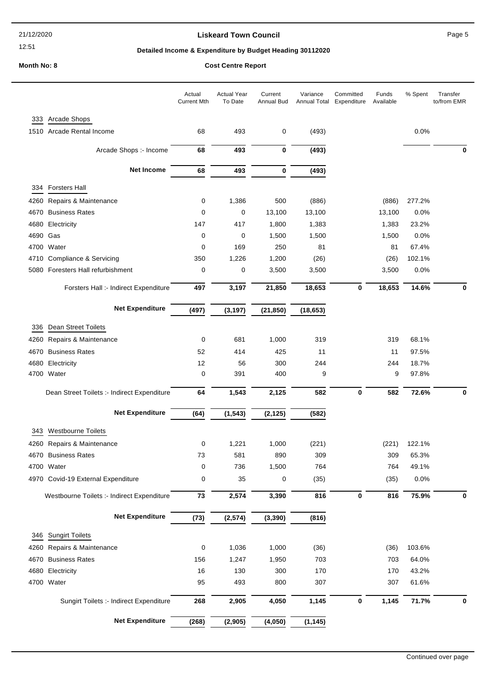## **Liskeard Town Council Canadian Council** Page 5

# **Detailed Income & Expenditure by Budget Heading 30112020**

|              |                                                | Actual<br><b>Current Mth</b> | <b>Actual Year</b><br>To Date | Current<br><b>Annual Bud</b> | Variance<br>Annual Total | Committed<br>Expenditure | Funds<br>Available | % Spent        | Transfer<br>to/from EMR |
|--------------|------------------------------------------------|------------------------------|-------------------------------|------------------------------|--------------------------|--------------------------|--------------------|----------------|-------------------------|
| 333          | Arcade Shops                                   |                              |                               |                              |                          |                          |                    |                |                         |
|              | 1510 Arcade Rental Income                      | 68                           | 493                           | 0                            | (493)                    |                          |                    | 0.0%           |                         |
|              | Arcade Shops :- Income                         | 68                           | 493                           | 0                            | (493)                    |                          |                    |                | 0                       |
|              | <b>Net Income</b>                              | 68                           | 493                           | $\bf{0}$                     | (493)                    |                          |                    |                |                         |
|              |                                                |                              |                               |                              |                          |                          |                    |                |                         |
| 334          | <b>Forsters Hall</b>                           |                              |                               |                              |                          |                          |                    |                |                         |
| 4260         | Repairs & Maintenance<br><b>Business Rates</b> | 0<br>0                       | 1,386<br>0                    | 500<br>13,100                | (886)<br>13,100          |                          | (886)<br>13,100    | 277.2%<br>0.0% |                         |
| 4670         |                                                |                              |                               |                              |                          |                          |                    |                |                         |
| 4680<br>4690 | Electricity<br>Gas                             | 147<br>0                     | 417<br>0                      | 1,800<br>1,500               | 1,383<br>1,500           |                          | 1,383<br>1,500     | 23.2%<br>0.0%  |                         |
| 4700         | Water                                          | 0                            | 169                           | 250                          | 81                       |                          | 81                 | 67.4%          |                         |
| 4710         | Compliance & Servicing                         | 350                          | 1,226                         | 1,200                        | (26)                     |                          | (26)               | 102.1%         |                         |
| 5080         | Foresters Hall refurbishment                   | 0                            | 0                             | 3,500                        | 3,500                    |                          | 3,500              | 0.0%           |                         |
|              | Forsters Hall :- Indirect Expenditure          | 497                          | 3,197                         | 21,850                       | 18,653                   | 0                        | 18,653             | 14.6%          | 0                       |
|              |                                                |                              |                               |                              |                          |                          |                    |                |                         |
|              | <b>Net Expenditure</b>                         | (497)                        | (3, 197)                      | (21, 850)                    | (18, 653)                |                          |                    |                |                         |
| 336          | Dean Street Toilets                            |                              |                               |                              |                          |                          |                    |                |                         |
| 4260         | Repairs & Maintenance                          | 0                            | 681                           | 1,000                        | 319                      |                          | 319                | 68.1%          |                         |
| 4670         | <b>Business Rates</b>                          | 52                           | 414                           | 425                          | 11                       |                          | 11                 | 97.5%          |                         |
| 4680         | Electricity                                    | 12                           | 56                            | 300                          | 244                      |                          | 244                | 18.7%          |                         |
| 4700         | Water                                          | 0                            | 391                           | 400                          | 9                        |                          | 9                  | 97.8%          |                         |
|              | Dean Street Toilets :- Indirect Expenditure    | 64                           | 1,543                         | 2,125                        | 582                      | $\bf{0}$                 | 582                | 72.6%          | 0                       |
|              | <b>Net Expenditure</b>                         | (64)                         | (1, 543)                      | (2, 125)                     | (582)                    |                          |                    |                |                         |
| 343          | <b>Westbourne Toilets</b>                      |                              |                               |                              |                          |                          |                    |                |                         |
|              |                                                |                              |                               |                              |                          |                          |                    |                |                         |
|              | 4260 Repairs & Maintenance                     | 0                            | 1,221                         | 1,000                        | (221)                    |                          | (221)              | 122.1%         |                         |
|              | 4670 Business Rates<br>4700 Water              | 73<br>0                      | 581<br>736                    | 890<br>1,500                 | 309<br>764               |                          | 309<br>764         | 65.3%<br>49.1% |                         |
|              |                                                |                              | 35                            |                              |                          |                          |                    | 0.0%           |                         |
|              | 4970 Covid-19 External Expenditure             | 0                            |                               | 0                            | (35)                     |                          | (35)               |                |                         |
|              | Westbourne Toilets :- Indirect Expenditure     | 73                           | 2,574                         | 3,390                        | 816                      | 0                        | 816                | 75.9%          | $\bf{0}$                |
|              | <b>Net Expenditure</b>                         | (73)                         | (2, 574)                      | (3, 390)                     | (816)                    |                          |                    |                |                         |
| 346          | <b>Sungirt Toilets</b>                         |                              |                               |                              |                          |                          |                    |                |                         |
| 4260         | Repairs & Maintenance                          | 0                            | 1,036                         | 1,000                        | (36)                     |                          | (36)               | 103.6%         |                         |
| 4670         | <b>Business Rates</b>                          | 156                          | 1,247                         | 1,950                        | 703                      |                          | 703                | 64.0%          |                         |
| 4680         | Electricity                                    | 16                           | 130                           | 300                          | 170                      |                          | 170                | 43.2%          |                         |
|              | 4700 Water                                     | 95                           | 493                           | 800                          | 307                      |                          | 307                | 61.6%          |                         |
|              | Sungirt Toilets :- Indirect Expenditure        | 268                          | 2,905                         | 4,050                        | 1,145                    | 0                        | 1,145              | 71.7%          | 0                       |
|              | <b>Net Expenditure</b>                         | (268)                        | (2, 905)                      | (4,050)                      | (1, 145)                 |                          |                    |                |                         |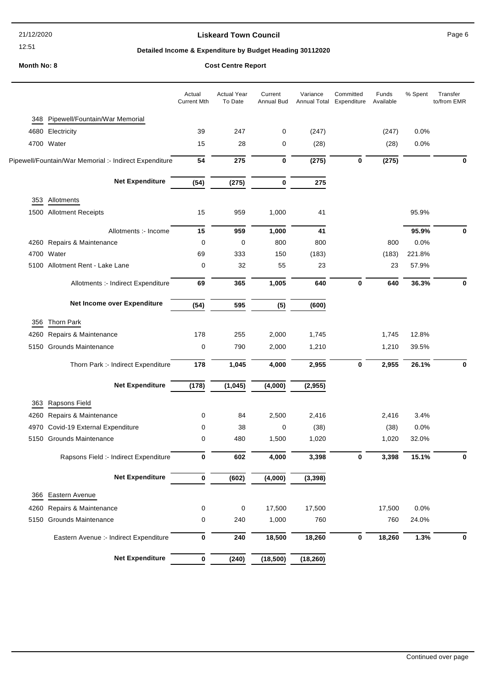21/12/2020

12:51

## **Liskeard Town Council Caucal** Council **Page 6**

# **Detailed Income & Expenditure by Budget Heading 30112020**

| Cost Centre Report |  |
|--------------------|--|
|--------------------|--|

|      |                                                        | Actual<br><b>Current Mth</b> | <b>Actual Year</b><br>To Date | Current<br>Annual Bud | Variance<br>Annual Total | Committed<br>Expenditure | Funds<br>Available | % Spent | Transfer<br>to/from EMR |
|------|--------------------------------------------------------|------------------------------|-------------------------------|-----------------------|--------------------------|--------------------------|--------------------|---------|-------------------------|
| 348  | Pipewell/Fountain/War Memorial                         |                              |                               |                       |                          |                          |                    |         |                         |
|      | 4680 Electricity                                       | 39                           | 247                           | 0                     | (247)                    |                          | (247)              | 0.0%    |                         |
|      | 4700 Water                                             | 15                           | 28                            | 0                     | (28)                     |                          | (28)               | 0.0%    |                         |
|      | Pipewell/Fountain/War Memorial :- Indirect Expenditure | 54                           | 275                           | $\bf{0}$              | (275)                    | 0                        | (275)              |         | 0                       |
|      | <b>Net Expenditure</b>                                 | (54)                         | (275)                         | $\bf{0}$              | 275                      |                          |                    |         |                         |
| 353  | Allotments                                             |                              |                               |                       |                          |                          |                    |         |                         |
|      | 1500 Allotment Receipts                                | 15                           | 959                           | 1,000                 | 41                       |                          |                    | 95.9%   |                         |
|      | Allotments :- Income                                   | 15                           | 959                           | 1,000                 | 41                       |                          |                    | 95.9%   | 0                       |
|      | 4260 Repairs & Maintenance                             | $\mathbf 0$                  | 0                             | 800                   | 800                      |                          | 800                | 0.0%    |                         |
|      | 4700 Water                                             | 69                           | 333                           | 150                   | (183)                    |                          | (183)              | 221.8%  |                         |
|      | 5100 Allotment Rent - Lake Lane                        | 0                            | 32                            | 55                    | 23                       |                          | 23                 | 57.9%   |                         |
|      | Allotments :- Indirect Expenditure                     | 69                           | 365                           | 1,005                 | 640                      | 0                        | 640                | 36.3%   | 0                       |
|      | Net Income over Expenditure                            | (54)                         | 595                           | (5)                   | (600)                    |                          |                    |         |                         |
| 356  | Thorn Park                                             |                              |                               |                       |                          |                          |                    |         |                         |
| 4260 | Repairs & Maintenance                                  | 178                          | 255                           | 2,000                 | 1,745                    |                          | 1,745              | 12.8%   |                         |
|      | 5150 Grounds Maintenance                               | 0                            | 790                           | 2,000                 | 1,210                    |                          | 1,210              | 39.5%   |                         |
|      | Thorn Park :- Indirect Expenditure                     | 178                          | 1,045                         | 4,000                 | 2,955                    | $\mathbf 0$              | 2,955              | 26.1%   | 0                       |
|      | <b>Net Expenditure</b>                                 | (178)                        | (1,045)                       | (4,000)               | (2, 955)                 |                          |                    |         |                         |
| 363  | Rapsons Field                                          |                              |                               |                       |                          |                          |                    |         |                         |
| 4260 | Repairs & Maintenance                                  | 0                            | 84                            | 2,500                 | 2,416                    |                          | 2,416              | 3.4%    |                         |
| 4970 | Covid-19 External Expenditure                          | 0                            | 38                            | 0                     | (38)                     |                          | (38)               | 0.0%    |                         |
|      | 5150 Grounds Maintenance                               | $\mathbf 0$                  | 480                           | 1,500                 | 1,020                    |                          | 1,020              | 32.0%   |                         |
|      | Rapsons Field :- Indirect Expenditure                  | 0                            | 602                           | 4,000                 | 3,398                    | 0                        | 3,398              | 15.1%   | 0                       |
|      | <b>Net Expenditure</b>                                 | $\bf{0}$                     | (602)                         | (4,000)               | (3, 398)                 |                          |                    |         |                         |
|      | 366 Eastern Avenue                                     |                              |                               |                       |                          |                          |                    |         |                         |
| 4260 | Repairs & Maintenance                                  | $\pmb{0}$                    | 0                             | 17,500                | 17,500                   |                          | 17,500             | 0.0%    |                         |
|      | 5150 Grounds Maintenance                               | $\mathbf 0$                  | 240                           | 1,000                 | 760                      |                          | 760                | 24.0%   |                         |
|      | Eastern Avenue :- Indirect Expenditure                 | 0                            | 240                           | 18,500                | 18,260                   | 0                        | 18,260             | 1.3%    | 0                       |
|      | <b>Net Expenditure</b>                                 | $\pmb{0}$                    | (240)                         | (18,500)              | (18, 260)                |                          |                    |         |                         |